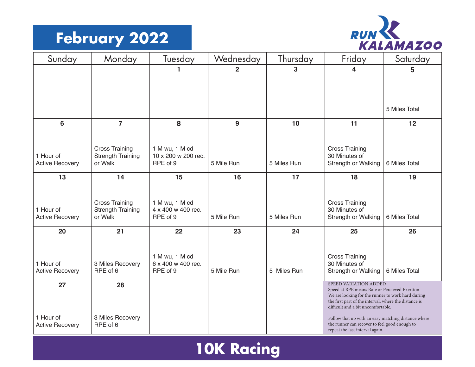#### **February 2022**



| Sunday                              | Monday                              | Tuesday                              | Wednesday      | Thursday    | Friday                                                                                                                                                                                            | Saturday      |  |
|-------------------------------------|-------------------------------------|--------------------------------------|----------------|-------------|---------------------------------------------------------------------------------------------------------------------------------------------------------------------------------------------------|---------------|--|
|                                     |                                     | 1                                    | $\overline{2}$ | 3           | 4                                                                                                                                                                                                 | 5             |  |
|                                     |                                     |                                      |                |             |                                                                                                                                                                                                   |               |  |
|                                     |                                     |                                      |                |             |                                                                                                                                                                                                   |               |  |
|                                     |                                     |                                      |                |             |                                                                                                                                                                                                   | 5 Miles Total |  |
| $6\phantom{a}$                      | $\overline{7}$                      | 8                                    | 9              | 10          | 11                                                                                                                                                                                                | 12            |  |
|                                     |                                     |                                      |                |             |                                                                                                                                                                                                   |               |  |
|                                     | <b>Cross Training</b>               | 1 M wu, 1 M cd                       |                |             | <b>Cross Training</b>                                                                                                                                                                             |               |  |
| 1 Hour of<br><b>Active Recovery</b> | <b>Strength Training</b><br>or Walk | 10 x 200 w 200 rec.<br>RPE of 9      | 5 Mile Run     | 5 Miles Run | 30 Minutes of<br>Strength or Walking                                                                                                                                                              | 6 Miles Total |  |
|                                     |                                     |                                      |                |             |                                                                                                                                                                                                   |               |  |
| 13                                  | 14                                  | 15                                   | 16             | 17          | 18                                                                                                                                                                                                | 19            |  |
|                                     |                                     |                                      |                |             |                                                                                                                                                                                                   |               |  |
|                                     | <b>Cross Training</b>               | 1 M wu, 1 M cd                       |                |             | <b>Cross Training</b>                                                                                                                                                                             |               |  |
| 1 Hour of<br><b>Active Recovery</b> | <b>Strength Training</b><br>or Walk | 4 x 400 w 400 rec.<br>RPE of 9       | 5 Mile Run     | 5 Miles Run | 30 Minutes of<br>Strength or Walking                                                                                                                                                              | 6 Miles Total |  |
| 20                                  | 21                                  | 22                                   | 23             | 24          | 25                                                                                                                                                                                                | 26            |  |
|                                     |                                     |                                      |                |             |                                                                                                                                                                                                   |               |  |
|                                     |                                     |                                      |                |             |                                                                                                                                                                                                   |               |  |
| 1 Hour of                           | 3 Miles Recovery                    | 1 M wu, 1 M cd<br>6 x 400 w 400 rec. |                |             | <b>Cross Training</b><br>30 Minutes of                                                                                                                                                            |               |  |
| <b>Active Recovery</b>              | RPE of 6                            | RPE of 9                             | 5 Mile Run     | 5 Miles Run | Strength or Walking                                                                                                                                                                               | 6 Miles Total |  |
| 27                                  | 28                                  |                                      |                |             | SPEED VARIATION ADDED                                                                                                                                                                             |               |  |
|                                     |                                     |                                      |                |             | Speed at RPE means Rate or Percieved Exertion<br>We are looking for the runner to work hard during<br>the first part of the interval, where the distance is<br>difficult and a bit uncomfortable. |               |  |
| 1 Hour of<br><b>Active Recovery</b> | 3 Miles Recovery<br>RPE of 6        |                                      |                |             | Follow that up with an easy matching distance where<br>the runner can recover to feel good enough to<br>repeat the fast interval again.                                                           |               |  |

#### **Schedule Name 10K Racing**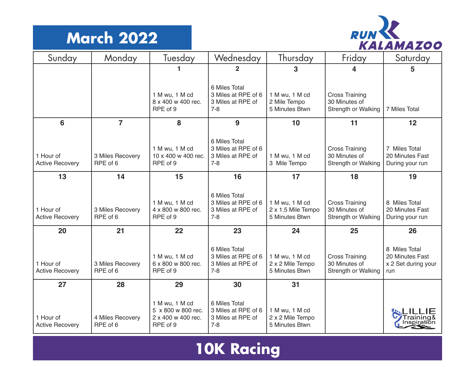#### **March 2022**



| Sunday                              | Monday                       | Tuesday                                                                | Wednesday                                                            | Thursday                                               | Friday                                                               | Saturday                                                       |
|-------------------------------------|------------------------------|------------------------------------------------------------------------|----------------------------------------------------------------------|--------------------------------------------------------|----------------------------------------------------------------------|----------------------------------------------------------------|
|                                     |                              | 1                                                                      | $\overline{2}$                                                       | 3                                                      | 4                                                                    | 5                                                              |
|                                     |                              | 1 M wu, 1 M cd<br>8 x 400 w 400 rec.<br>RPE of 9                       | 6 Miles Total<br>3 Miles at RPE of 6<br>3 Miles at RPE of<br>$7 - 8$ | 1 M wu, 1 M cd<br>2 Mile Tempo<br>5 Minutes Btwn       | <b>Cross Training</b><br>30 Minutes of<br><b>Strength or Walking</b> | 7 Miles Total                                                  |
| 6                                   | $\overline{7}$               | 8                                                                      | 9                                                                    | 10                                                     | 11                                                                   | 12                                                             |
| 1 Hour of<br><b>Active Recovery</b> | 3 Miles Recovery<br>RPE of 6 | 1 M wu, 1 M cd<br>10 x 400 w 400 rec.<br>RPE of 9                      | 6 Miles Total<br>3 Miles at RPE of 6<br>3 Miles at RPE of<br>$7 - 8$ | 1 M wu, 1 M cd<br>3 Mile Tempo                         | <b>Cross Training</b><br>30 Minutes of<br>Strength or Walking        | 7 Miles Total<br>20 Minutes Fast<br>During your run            |
| 13                                  | 14                           | 15                                                                     | 16                                                                   | 17                                                     | 18                                                                   | 19                                                             |
| 1 Hour of<br><b>Active Recovery</b> | 3 Miles Recovery<br>RPE of 6 | 1 M wu, 1 M cd<br>4 x 800 w 800 rec.<br>RPE of 9                       | 6 Miles Total<br>3 Miles at RPE of 6<br>3 Miles at RPE of<br>$7 - 8$ | 1 M wu, 1 M cd<br>2 x 1.5 Mile Tempo<br>5 Minutes Btwn | <b>Cross Training</b><br>30 Minutes of<br>Strength or Walking        | 8 Miles Total<br>20 Minutes Fast<br>During your run            |
| 20                                  | 21                           | 22                                                                     | 23                                                                   | 24                                                     | 25                                                                   | 26                                                             |
| 1 Hour of<br><b>Active Recovery</b> | 3 Miles Recovery<br>RPE of 6 | 1 M wu, 1 M cd<br>6 x 800 w 800 rec.<br>RPE of 9                       | 6 Miles Total<br>3 Miles at RPE of 6<br>3 Miles at RPE of<br>$7 - 8$ | 1 M wu, 1 M cd<br>2 x 2 Mile Tempo<br>5 Minutes Btwn   | <b>Cross Training</b><br>30 Minutes of<br>Strength or Walking        | 8 Miles Total<br>20 Minutes Fast<br>x 2 Set during your<br>run |
| 27                                  | 28                           | 29                                                                     | 30                                                                   | 31                                                     |                                                                      |                                                                |
| 1 Hour of<br><b>Active Recovery</b> | 4 Miles Recovery<br>RPE of 6 | 1 M wu, 1 M cd<br>5 x 800 w 800 rec.<br>2 x 400 w 400 rec.<br>RPE of 9 | 6 Miles Total<br>3 Miles at RPE of 6<br>3 Miles at RPE of<br>$7 - 8$ | 1 M wu, 1 M cd<br>2 x 2 Mile Tempo<br>5 Minutes Btwn   |                                                                      |                                                                |

## **10K Racing**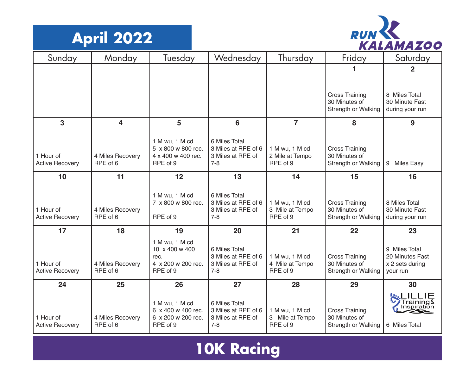



| Sunday                              | Monday                       | Tuesday                                                                    | Wednesday                                                            | Thursday                                      | Friday                                                               | Saturday                                                        |
|-------------------------------------|------------------------------|----------------------------------------------------------------------------|----------------------------------------------------------------------|-----------------------------------------------|----------------------------------------------------------------------|-----------------------------------------------------------------|
|                                     |                              |                                                                            |                                                                      |                                               | 1                                                                    | $\overline{2}$                                                  |
|                                     |                              |                                                                            |                                                                      |                                               |                                                                      |                                                                 |
|                                     |                              |                                                                            |                                                                      |                                               | <b>Cross Training</b><br>30 Minutes of<br>Strength or Walking        | 8 Miles Total<br>30 Minute Fast<br>during your run              |
| 3                                   | $\overline{\mathbf{4}}$      | 5                                                                          | 6                                                                    | $\overline{7}$                                | 8                                                                    | 9                                                               |
| 1 Hour of<br><b>Active Recovery</b> | 4 Miles Recovery<br>RPE of 6 | 1 M wu, 1 M cd<br>5 x 800 w 800 rec.<br>4 x 400 w 400 rec.<br>RPE of 9     | 6 Miles Total<br>3 Miles at RPE of 6<br>3 Miles at RPE of<br>$7 - 8$ | 1 M wu, 1 M cd<br>2 Mile at Tempo<br>RPE of 9 | <b>Cross Training</b><br>30 Minutes of<br>Strength or Walking        | 9 Miles Easy                                                    |
| 10                                  | 11                           | 12                                                                         | 13                                                                   | 14                                            | 15                                                                   | 16                                                              |
| 1 Hour of<br><b>Active Recovery</b> | 4 Miles Recovery<br>RPE of 6 | 1 M wu, 1 M cd<br>7 x 800 w 800 rec.<br>RPE of 9                           | 6 Miles Total<br>3 Miles at RPE of 6<br>3 Miles at RPE of<br>$7 - 8$ | 1 M wu, 1 M cd<br>3 Mile at Tempo<br>RPE of 9 | <b>Cross Training</b><br>30 Minutes of<br><b>Strength or Walking</b> | 8 Miles Total<br>30 Minute Fast<br>during your run              |
| 17                                  | 18                           | 19                                                                         | 20                                                                   | 21                                            | 22                                                                   | 23                                                              |
| 1 Hour of<br><b>Active Recovery</b> | 4 Miles Recovery<br>RPE of 6 | 1 M wu, 1 M cd<br>10 x 400 w 400<br>rec.<br>4 x 200 w 200 rec.<br>RPE of 9 | 6 Miles Total<br>3 Miles at RPE of 6<br>3 Miles at RPE of<br>$7 - 8$ | 1 M wu, 1 M cd<br>4 Mile at Tempo<br>RPE of 9 | <b>Cross Training</b><br>30 Minutes of<br>Strength or Walking        | 9 Miles Total<br>20 Minutes Fast<br>x 2 sets during<br>your run |
| 24                                  | 25                           | 26                                                                         | 27                                                                   | 28                                            | 29                                                                   | 30                                                              |
| 1 Hour of<br><b>Active Recovery</b> | 4 Miles Recovery<br>RPE of 6 | 1 M wu, 1 M cd<br>6 x 400 w 400 rec.<br>6 x 200 w 200 rec.<br>RPE of 9     | 6 Miles Total<br>3 Miles at RPE of 6<br>3 Miles at RPE of<br>$7 - 8$ | 1 M wu, 1 M cd<br>3 Mile at Tempo<br>RPE of 9 | <b>Cross Training</b><br>30 Minutes of<br>Strength or Walking        | Training&<br>Inspiration<br>6 Miles Total                       |

## **10K Racing**